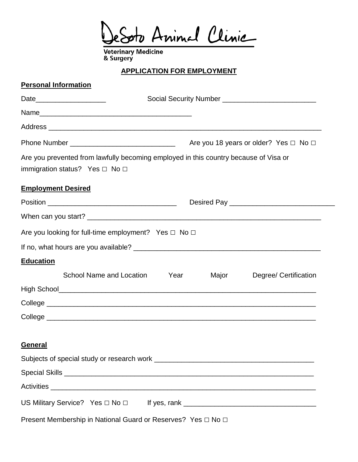sto Animal Clinic

Veterinary Medicine<br>& Surgery

## **APPLICATION FOR EMPLOYMENT**

# **Personal Information**

|                                                                                                                                  |      |       | Are you 18 years or older? Yes $\Box$ No $\Box$ |
|----------------------------------------------------------------------------------------------------------------------------------|------|-------|-------------------------------------------------|
| Are you prevented from lawfully becoming employed in this country because of Visa or<br>immigration status? Yes $\Box$ No $\Box$ |      |       |                                                 |
| <b>Employment Desired</b>                                                                                                        |      |       |                                                 |
|                                                                                                                                  |      |       |                                                 |
|                                                                                                                                  |      |       |                                                 |
| Are you looking for full-time employment? Yes $\Box$ No $\Box$                                                                   |      |       |                                                 |
|                                                                                                                                  |      |       |                                                 |
| <b>Education</b>                                                                                                                 |      |       |                                                 |
| School Name and Location                                                                                                         | Year | Major | Degree/ Certification                           |
|                                                                                                                                  |      |       |                                                 |
|                                                                                                                                  |      |       |                                                 |
|                                                                                                                                  |      |       |                                                 |
|                                                                                                                                  |      |       |                                                 |
| <b>General</b>                                                                                                                   |      |       |                                                 |
|                                                                                                                                  |      |       |                                                 |
|                                                                                                                                  |      |       |                                                 |
|                                                                                                                                  |      |       |                                                 |
| US Military Service? Yes $\Box$ No $\Box$ If yes, rank ______________________________                                            |      |       |                                                 |
| Present Membership in National Guard or Reserves? Yes □ No □                                                                     |      |       |                                                 |